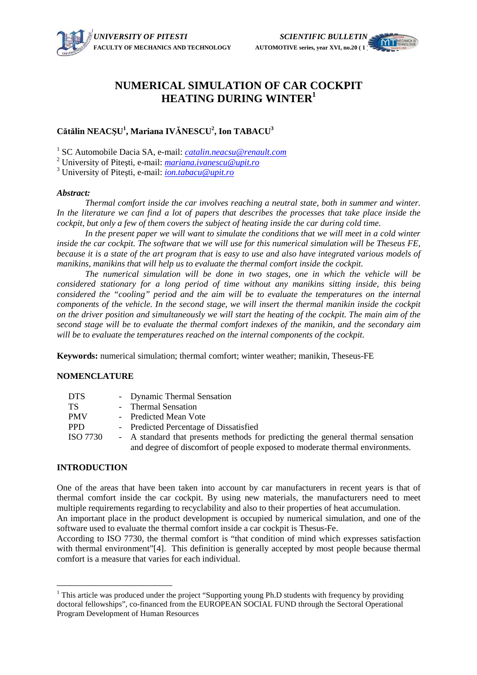# **NUMERICAL SIMULATION OF CAR COCKPIT HEATING DURING WINTER<sup>1</sup>**

# **C**ă**t**ă**lin NEAC**Ş**U 1 , Mariana IV**Ă**NESCU<sup>2</sup> , Ion TABACU<sup>3</sup>**

1 SC Automobile Dacia SA, e-mail: *catalin.neacsu@renault.com*

2 University of Piteşti, e-mail: *mariana.ivanescu@upit.ro*

3 University of Piteşti, e-mail: *ion.tabacu@upit.ro*

#### *Abstract:*

*Thermal comfort inside the car involves reaching a neutral state, both in summer and winter. In the literature we can find a lot of papers that describes the processes that take place inside the cockpit, but only a few of them covers the subject of heating inside the car during cold time.*

In the present paper we will want to simulate the conditions that we will meet in a cold winter *inside the car cockpit. The software that we will use for this numerical simulation will be Theseus FE, because it is a state of the art program that is easy to use and also have integrated various models of manikins, manikins that will help us to evaluate the thermal comfort inside the cockpit.* 

*The numerical simulation will be done in two stages, one in which the vehicle will be considered stationary for a long period of time without any manikins sitting inside, this being considered the "cooling" period and the aim will be to evaluate the temperatures on the internal components of the vehicle. In the second stage, we will insert the thermal manikin inside the cockpit on the driver position and simultaneously we will start the heating of the cockpit. The main aim of the second stage will be to evaluate the thermal comfort indexes of the manikin, and the secondary aim will be to evaluate the temperatures reached on the internal components of the cockpit.* 

**Keywords:** numerical simulation; thermal comfort; winter weather; manikin, Theseus-FE

### **NOMENCLATURE**

| DTS.     | - Dynamic Thermal Sensation                                                     |
|----------|---------------------------------------------------------------------------------|
| TS       | - Thermal Sensation                                                             |
| PMV      | - Predicted Mean Vote                                                           |
| PPD.     | - Predicted Percentage of Dissatisfied                                          |
| ISO 7730 | - A standard that presents methods for predicting the general thermal sensation |
|          | and degree of discomfort of people exposed to moderate thermal environments.    |

### **INTRODUCTION**

 $\overline{a}$ 

One of the areas that have been taken into account by car manufacturers in recent years is that of thermal comfort inside the car cockpit. By using new materials, the manufacturers need to meet multiple requirements regarding to recyclability and also to their properties of heat accumulation. An important place in the product development is occupied by numerical simulation, and one of the

software used to evaluate the thermal comfort inside a car cockpit is Thesus-Fe.

According to ISO 7730, the thermal comfort is "that condition of mind which expresses satisfaction with thermal environment"[4]. This definition is generally accepted by most people because thermal comfort is a measure that varies for each individual.

<sup>&</sup>lt;sup>1</sup> This article was produced under the project "Supporting young Ph.D students with frequency by providing doctoral fellowships", co-financed from the EUROPEAN SOCIAL FUND through the Sectoral Operational Program Development of Human Resources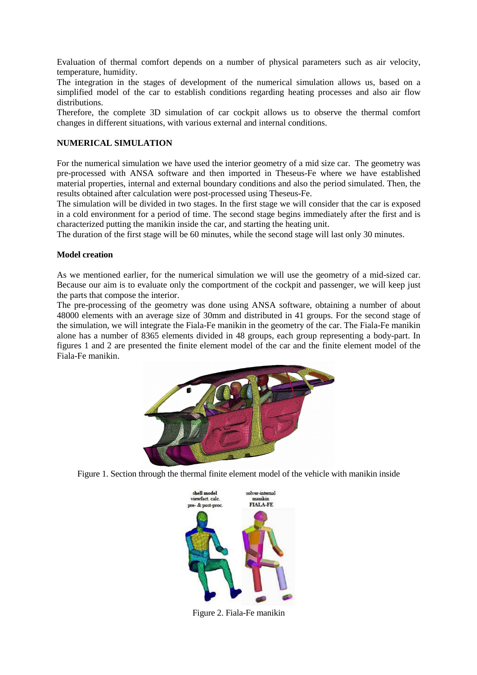Evaluation of thermal comfort depends on a number of physical parameters such as air velocity, temperature, humidity.

The integration in the stages of development of the numerical simulation allows us, based on a simplified model of the car to establish conditions regarding heating processes and also air flow distributions.

Therefore, the complete 3D simulation of car cockpit allows us to observe the thermal comfort changes in different situations, with various external and internal conditions.

# **NUMERICAL SIMULATION**

For the numerical simulation we have used the interior geometry of a mid size car. The geometry was pre-processed with ANSA software and then imported in Theseus-Fe where we have established material properties, internal and external boundary conditions and also the period simulated. Then, the results obtained after calculation were post-processed using Theseus-Fe.

The simulation will be divided in two stages. In the first stage we will consider that the car is exposed in a cold environment for a period of time. The second stage begins immediately after the first and is characterized putting the manikin inside the car, and starting the heating unit.

The duration of the first stage will be 60 minutes, while the second stage will last only 30 minutes.

#### **Model creation**

As we mentioned earlier, for the numerical simulation we will use the geometry of a mid-sized car. Because our aim is to evaluate only the comportment of the cockpit and passenger, we will keep just the parts that compose the interior.

The pre-processing of the geometry was done using ANSA software, obtaining a number of about 48000 elements with an average size of 30mm and distributed in 41 groups. For the second stage of the simulation, we will integrate the Fiala-Fe manikin in the geometry of the car. The Fiala-Fe manikin alone has a number of 8365 elements divided in 48 groups, each group representing a body-part. In figures 1 and 2 are presented the finite element model of the car and the finite element model of the Fiala-Fe manikin.



Figure 1. Section through the thermal finite element model of the vehicle with manikin inside



Figure 2. Fiala-Fe manikin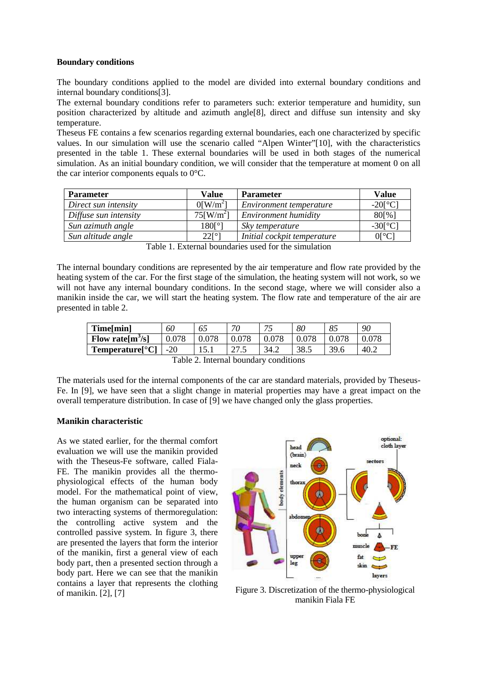#### **Boundary conditions**

The boundary conditions applied to the model are divided into external boundary conditions and internal boundary conditions[3].

The external boundary conditions refer to parameters such: exterior temperature and humidity, sun position characterized by altitude and azimuth angle[8], direct and diffuse sun intensity and sky temperature.

Theseus FE contains a few scenarios regarding external boundaries, each one characterized by specific values. In our simulation will use the scenario called "Alpen Winter"[10], with the characteristics presented in the table 1. These external boundaries will be used in both stages of the numerical simulation. As an initial boundary condition, we will consider that the temperature at moment 0 on all the car interior components equals to 0°C.

| <b>Parameter</b>      | <b>Value</b>                           | <b>Parameter</b>            | Value                                   |
|-----------------------|----------------------------------------|-----------------------------|-----------------------------------------|
| Direct sun intensity  | $0$ [W/m <sup>2</sup> ]                | Environment temperature     | $-20$ [ $^{\circ}$ C]                   |
| Diffuse sun intensity | $75$ [W/m <sup>2</sup> ]               | Environment humidity        | 80[%]                                   |
| Sun azimuth angle     | $180$ <sup>[<math>\circ</math></sup> ] | Sky temperature             | $-30$ <sup>[<math>\circ</math></sup> C] |
| Sun altitude angle    | $22[^{\circ}]$                         | Initial cockpit temperature | $0[^{\circ}C]$                          |

Table 1. External boundaries used for the simulation

The internal boundary conditions are represented by the air temperature and flow rate provided by the heating system of the car. For the first stage of the simulation, the heating system will not work, so we will not have any internal boundary conditions. In the second stage, where we will consider also a manikin inside the car, we will start the heating system. The flow rate and temperature of the air are presented in table 2.

| Time[min]           | 60    | 65        | 70           | 70<br>. | 80   | 85   | 90   |
|---------------------|-------|-----------|--------------|---------|------|------|------|
| Flow rate $[m^3/s]$ | 0.078 | ${0.078}$ |              |         |      |      |      |
| Temperature[°C]     | $-20$ | 1 J . 1   | 275<br>ن ایپ | 34.2    | 38.5 | 39.6 | 40.2 |

Table 2. Internal boundary conditions

The materials used for the internal components of the car are standard materials, provided by Theseus-Fe. In [9], we have seen that a slight change in material properties may have a great impact on the overall temperature distribution. In case of [9] we have changed only the glass properties.

### **Manikin characteristic**

As we stated earlier, for the thermal comfort evaluation we will use the manikin provided with the Theseus-Fe software, called Fiala-FE. The manikin provides all the thermophysiological effects of the human body model. For the mathematical point of view, the human organism can be separated into two interacting systems of thermoregulation: the controlling active system and the controlled passive system. In figure 3, there are presented the layers that form the interior of the manikin, first a general view of each body part, then a presented section through a body part. Here we can see that the manikin contains a layer that represents the clothing



of manikin. [2], [7] Figure 3. Discretization of the thermo-physiological of manikin. [2], [7] manikin Fiala FE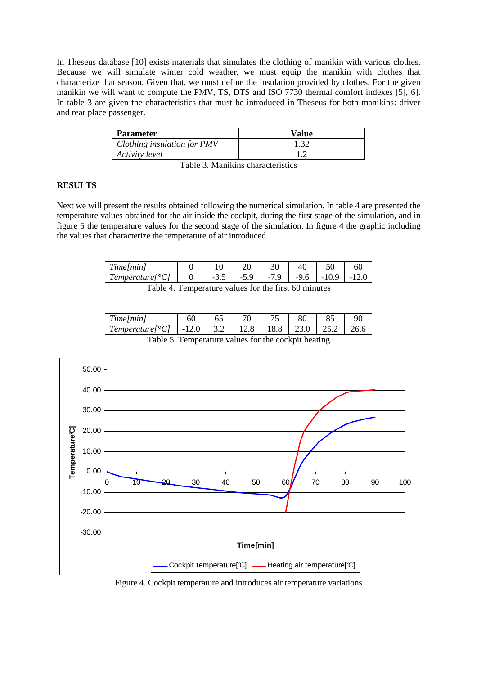In Theseus database [10] exists materials that simulates the clothing of manikin with various clothes. Because we will simulate winter cold weather, we must equip the manikin with clothes that characterize that season. Given that, we must define the insulation provided by clothes. For the given manikin we will want to compute the PMV, TS, DTS and ISO 7730 thermal comfort indexes [5],[6]. In table 3 are given the characteristics that must be introduced in Theseus for both manikins: driver and rear place passenger.

| <b>Parameter</b>            | Value |
|-----------------------------|-------|
| Clothing insulation for PMV | 1.32  |
| Activity level              |       |

Table 3. Manikins characteristics

# **RESULTS**

Next we will present the results obtained following the numerical simulation. In table 4 are presented the temperature values obtained for the air inside the cockpit, during the first stage of the simulation, and in figure 5 the temperature values for the second stage of the simulation. In figure 4 the graphic including the values that characterize the temperature of air introduced.

| Time/min                                    |                                             |  | 40     |      |
|---------------------------------------------|---------------------------------------------|--|--------|------|
| $\mid$ Temperature $\mid \, ^{\circ}C \mid$ | $-3.5$   $-5.9$   $-7.9$   $-9.6$   $-10.9$ |  |        | -120 |
| — 11                                        |                                             |  | $\sim$ |      |

Table 4. Temperature values for the first 60 minutes

| Time/min                                                            |  |  |  |  |  |  |  |  |
|---------------------------------------------------------------------|--|--|--|--|--|--|--|--|
| Temperature $[°C]$   -12.0   3.2   12.8   18.8   23.0   25.2   26.6 |  |  |  |  |  |  |  |  |
| $Table 5$ Tomparature values for the society heating                |  |  |  |  |  |  |  |  |





Figure 4. Cockpit temperature and introduces air temperature variations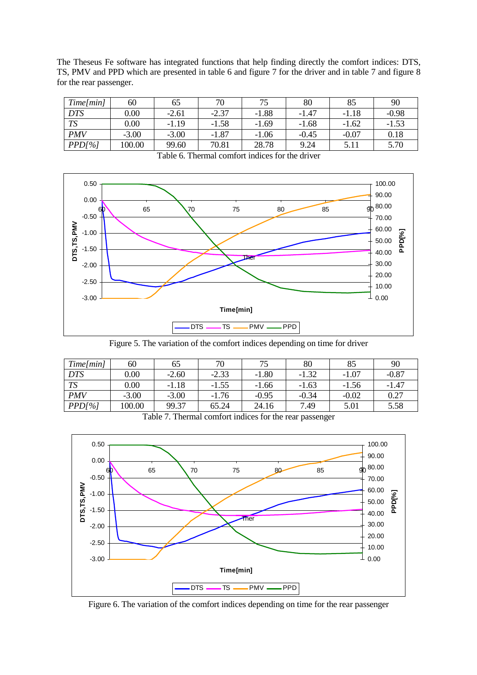The Theseus Fe software has integrated functions that help finding directly the comfort indices: DTS, TS, PMV and PPD which are presented in table 6 and figure 7 for the driver and in table 7 and figure 8 for the rear passenger.

| Time/min   | 60       | 65      | 70      | 75      | 80      | 85      | 90      |
|------------|----------|---------|---------|---------|---------|---------|---------|
| <b>DTS</b> | $0.00\,$ | $-2.61$ | $-2.37$ | $-1.88$ | $-1.47$ | $-1.18$ | $-0.98$ |
| <b>TS</b>  | $0.00\,$ | $-1.19$ | $-1.58$ | $-1.69$ | $-1.68$ | $-1.62$ | $-1.53$ |
| <b>PMV</b> | $-3.00$  | $-3.00$ | $-1.87$ | $-1.06$ | $-0.45$ | $-0.07$ | 0.18    |
| PPD[%]     | 100.00   | 99.60   | 70.81   | 28.78   | 9.24    | 5.11    | 5.70    |



Table 6. Thermal comfort indices for the driver

Figure 5. The variation of the comfort indices depending on time for driver

| Time/min   | 60       | 65      | 70      | 75      | 80      | 85      | 90      |
|------------|----------|---------|---------|---------|---------|---------|---------|
| <b>DTS</b> | 0.00     | $-2.60$ | $-2.33$ | $-1.80$ | $-1.32$ | $-1.07$ | $-0.87$ |
| <b>TS</b>  | $0.00\,$ | $-1.18$ | $-1.55$ | $-1.66$ | $-1.63$ | $-1.56$ | $-1.47$ |
| <b>PMV</b> | $-3.00$  | $-3.00$ | $-1.76$ | $-0.95$ | $-0.34$ | $-0.02$ | 0.27    |
| PPD[%]     | 100.00   | 99.37   | 65.24   | 24.16   | 7.49    | 5.01    | 5.58    |

Table 7. Thermal comfort indices for the rear passenger



Figure 6. The variation of the comfort indices depending on time for the rear passenger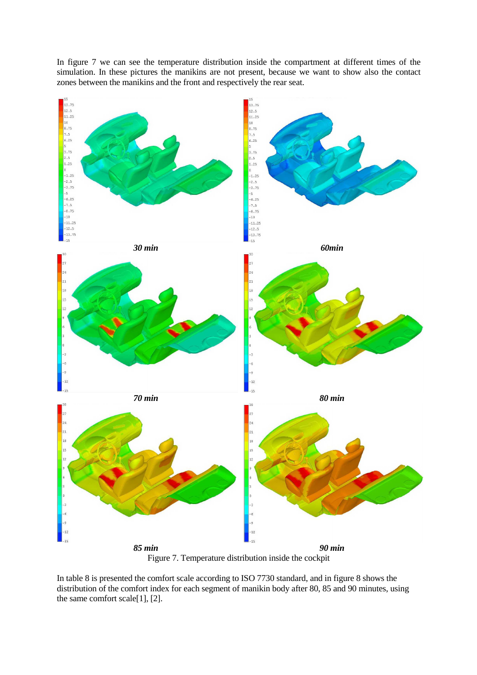

In figure 7 we can see the temperature distribution inside the compartment at different times of the simulation. In these pictures the manikins are not present, because we want to show also the contact zones between the manikins and the front and respectively the rear seat.

Figure 7. Temperature distribution inside the cockpit

In table 8 is presented the comfort scale according to ISO 7730 standard, and in figure 8 shows the distribution of the comfort index for each segment of manikin body after 80, 85 and 90 minutes, using the same comfort scale[1], [2].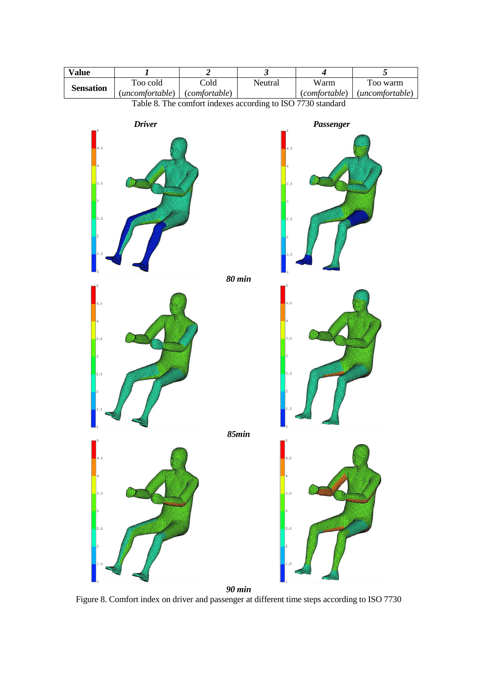

Figure 8. Comfort index on driver and passenger at different time steps according to ISO 7730